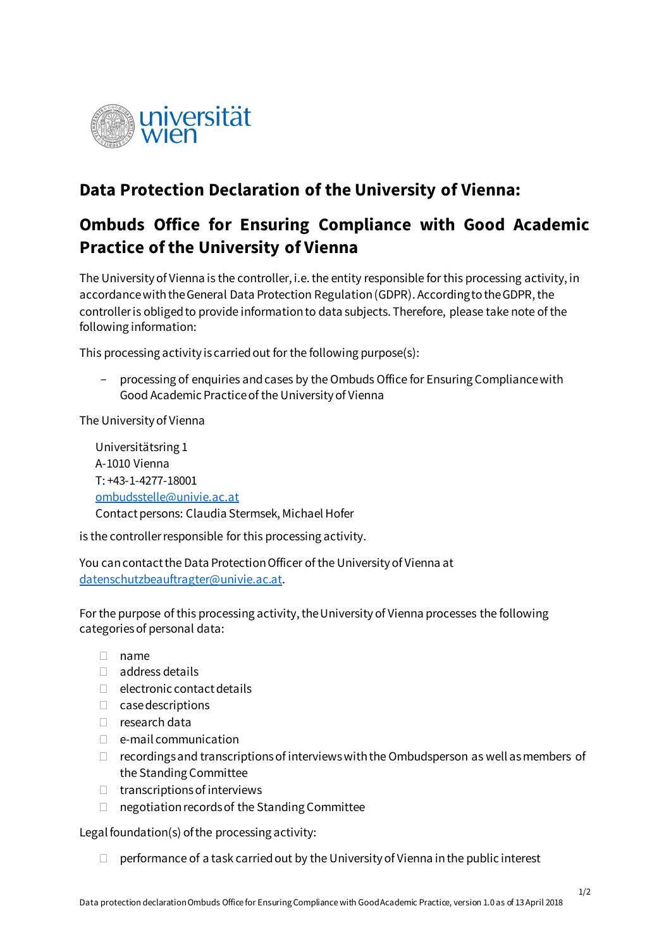

## **Data Protection Declaration of the University of Vienna:**

## **Ombuds Office for Ensuring Compliance with Good Academic Practice of the University of Vienna**

The University of Vienna is the controller, i.e. the entity responsible for this processing activity, in accordance with the General Data Protection Regulation (GDPR). According to the GDPR, the controller is obliged to provide information to data subjects. Therefore, please take note of the following information:

This processing activity is carried out for the following purpose(s):

 processing of enquiries and cases by the Ombuds Office for Ensuring Compliance with Good Academic Practice of the University of Vienna

The University of Vienna

Universitätsring 1 A-1010 Vienna T: +43-1-4277-18001 [ombudsstelle@univie.ac.at](javascript:linkTo_UnCryptMailto() Contact persons: Claudia Stermsek, Michael Hofer

is the controller responsible for this processing activity.

You can contact the Data Protection Officer of the University of Vienna at [datenschutzbeauftragter@univie.ac.at](mailto:datenschutzbeauftragter@univie.ac.at).

For the purpose of this processing activity, the University of Vienna processes the following categories of personal data:

- $\Box$  name
- address details
- $\Box$  electronic contact details
- $\Box$  case descriptions
- $\Box$  research data
- $\Box$  e-mail communication
- $\Box$  recordings and transcriptions of interviews with the Ombudsperson as well as members of the Standing Committee
- $\Box$  transcriptions of interviews
- $\Box$  negotiation records of the Standing Committee

Legal foundation(s) of the processing activity:

 $\Box$  performance of a task carried out by the University of Vienna in the public interest